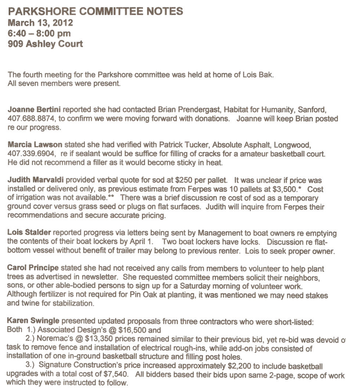## **PARKSHORE COMMITTEE NOTES March 13, 2012 6:40 - 8:00 pm 909 Ashley Court**

The fourth meeting for the Parkshore committee was held at home of Lois Bak. All seven members were present.

**Joanne Bertini** reported she had contacted Brian Prendergast, Habitat for Humanity, Sanford, 407.688.8874, to confirm we were moving forward with donations. Joanne will keep Brian posted re our progress.

**Marcia Lawson** stated she had verified with Patrick Tucker, Absolute Asphalt, Longwood, 407.339.6904, re if sealant would be suffice for filling of cracks for a amateur basketball court. He did not recommend a filler as it would become sticky in heat.

**Judith Marvaldi** provided verbal quote for sod at \$250 per pallet. It was unclear if price was installed or delivered only, as previous estimate from Ferpes was 10 pallets at \$3,500. \* Cost of irrigation was not available. \*\* There was a brief discussion re cost of sod as a temporary ground cover versus grass seed or plugs on flat surfaces. Judith will inquire from Ferpes their recommendations and secure accurate pricing.

**Lois Stalder** reported progress via letters being sent by Management to boat owners re emptying the contents of their boat lockers by April 1. Two boat lockers have locks. Discussion re flatbottom vessel without benefit of trailer may belong to previous renter. Lois to seek proper owner.

**Carol Principe** stated she had not received any calls from members to volunteer to help plant trees as advertised in newsletter. She requested committee members solicit their neighbors, sons, or other able-bodied persons to sign up for a Saturday morning of volunteer work. Although fertilizer is not required for Pin Oak at planting, it was mentioned we may need stakes and twine for stabilization.

**Karen Swingle** presented updated proposals from three contractors who were short-listed: Both 1.) Associated Design's @ \$16,500 and

2.) Noremac's @ \$13,350 prices remained similar to their previous bid, yet re-bid was devoid O' task to remove fence and installation of electrical rough-ins, while add-on jobs consisted of installation of one in-ground basketball structure and filling post holes.

3.) Signature Construction's price increased approximately \$2,200 to include basketball upgrades with a total cost of \$7,540. All bidders based their bids upon same 2-page, scope of work which they were instructed to follow.